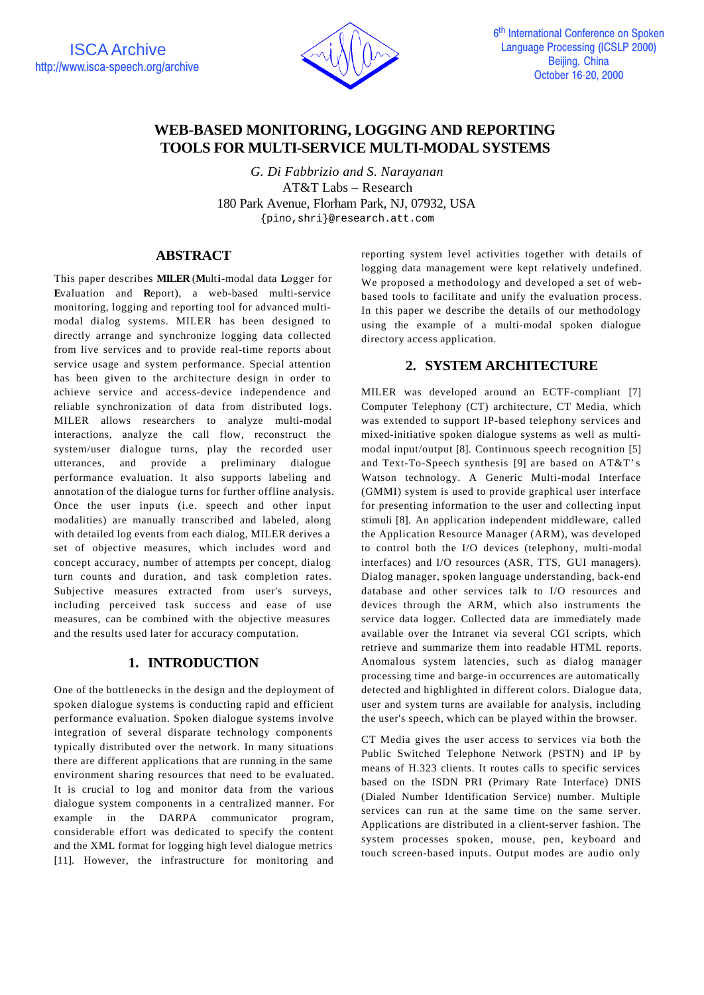

# **WEB-BASED MONITORING, LOGGING AND REPORTING TOOLS FOR MULTI-SERVICE MULTI-MODAL SYSTEMS**

*G. Di Fabbrizio and S. Narayanan* AT&T Labs – Research 180 Park Avenue, Florham Park, NJ, 07932, USA {pino,shri}@research.att.com

# **ABSTRACT**

This paper describes **MILER** (**M**ult**i**-modal data **L**ogger for **E**valuation and **R**eport), a web-based multi-service monitoring, logging and reporting tool for advanced multimodal dialog systems. MILER has been designed to directly arrange and synchronize logging data collected from live services and to provide real-time reports about service usage and system performance. Special attention has been given to the architecture design in order to achieve service and access-device independence and reliable synchronization of data from distributed logs. MILER allows researchers to analyze multi-modal interactions, analyze the call flow, reconstruct the system/user dialogue turns, play the recorded user utterances, and provide a preliminary dialogue performance evaluation. It also supports labeling and annotation of the dialogue turns for further offline analysis. Once the user inputs (i.e. speech and other input modalities) are manually transcribed and labeled, along with detailed log events from each dialog, MILER derives a set of objective measures, which includes word and concept accuracy, number of attempts per concept, dialog turn counts and duration, and task completion rates. Subjective measures extracted from user's surveys, including perceived task success and ease of use measures, can be combined with the objective measures and the results used later for accuracy computation.

# **1. INTRODUCTION**

One of the bottlenecks in the design and the deployment of spoken dialogue systems is conducting rapid and efficient performance evaluation. Spoken dialogue systems involve integration of several disparate technology components typically distributed over the network. In many situations there are different applications that are running in the same environment sharing resources that need to be evaluated. It is crucial to log and monitor data from the various dialogue system components in a centralized manner. For example in the DARPA communicator program, considerable effort was dedicated to specify the content and the XML format for logging high level dialogue metrics [11]. However, the infrastructure for monitoring and reporting system level activities together with details of logging data management were kept relatively undefined. We proposed a methodology and developed a set of webbased tools to facilitate and unify the evaluation process. In this paper we describe the details of our methodology using the example of a multi-modal spoken dialogue directory access application.

# **2. SYSTEM ARCHITECTURE**

MILER was developed around an ECTF-compliant [7] Computer Telephony (CT) architecture, CT Media, which was extended to support IP-based telephony services and mixed-initiative spoken dialogue systems as well as multimodal input/output [8]. Continuous speech recognition [5] and Text-To-Speech synthesis [9] are based on AT&T's Watson technology. A Generic Multi-modal Interface (GMMI) system is used to provide graphical user interface for presenting information to the user and collecting input stimuli [8]. An application independent middleware, called the Application Resource Manager (ARM), was developed to control both the I/O devices (telephony, multi-modal interfaces) and I/O resources (ASR, TTS, GUI managers). Dialog manager, spoken language understanding, back-end database and other services talk to I/O resources and devices through the ARM, which also instruments the service data logger. Collected data are immediately made available over the Intranet via several CGI scripts, which retrieve and summarize them into readable HTML reports. Anomalous system latencies, such as dialog manager processing time and barge-in occurrences are automatically detected and highlighted in different colors. Dialogue data, user and system turns are available for analysis, including the user's speech, which can be played within the browser.

CT Media gives the user access to services via both the Public Switched Telephone Network (PSTN) and IP by means of H.323 clients. It routes calls to specific services based on the ISDN PRI (Primary Rate Interface) DNIS (Dialed Number Identification Service) number. Multiple services can run at the same time on the same server. Applications are distributed in a client-server fashion. The system processes spoken, mouse, pen, keyboard and touch screen-based inputs. Output modes are audio only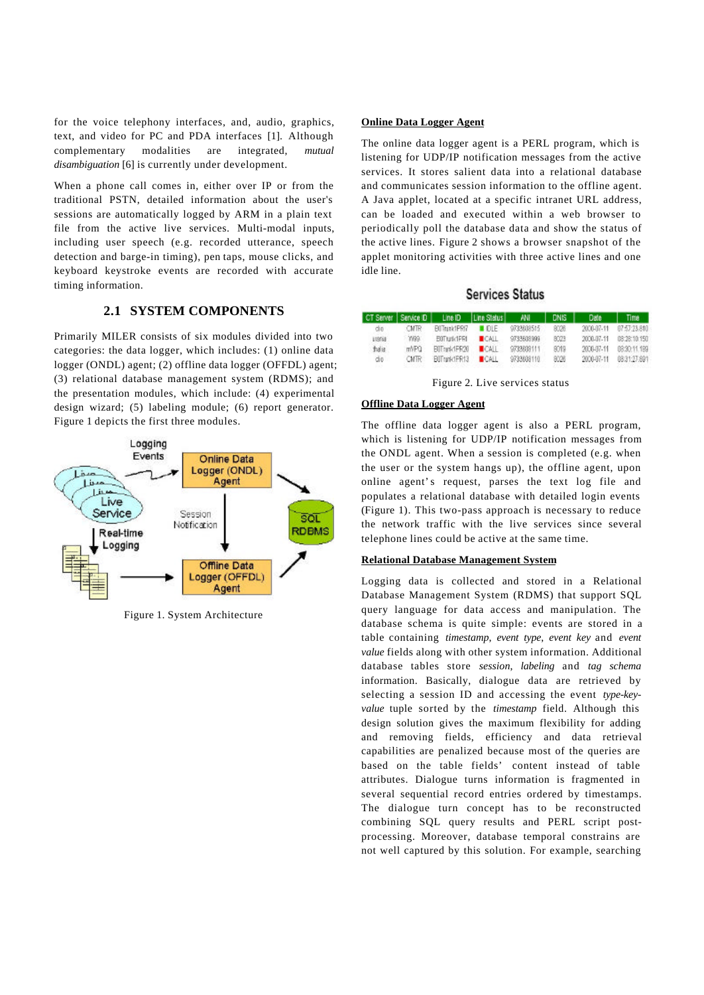for the voice telephony interfaces, and, audio, graphics, text, and video for PC and PDA interfaces [1]. Although complementary modalities are integrated, *mutual disambiguation* [6] is currently under development.

When a phone call comes in, either over IP or from the traditional PSTN, detailed information about the user's sessions are automatically logged by ARM in a plain text file from the active live services. Multi-modal inputs, including user speech (e.g. recorded utterance, speech detection and barge-in timing), pen taps, mouse clicks, and keyboard keystroke events are recorded with accurate timing information.

## **2.1 SYSTEM COMPONENTS**

Primarily MILER consists of six modules divided into two categories: the data logger, which includes: (1) online data logger (ONDL) agent; (2) offline data logger (OFFDL) agent; (3) relational database management system (RDMS); and the presentation modules, which include: (4) experimental design wizard; (5) labeling module; (6) report generator. Figure 1 depicts the first three modules.



Figure 1. System Architecture

### **Online Data Logger Agent**

The online data logger agent is a PERL program, which is listening for UDP/IP notification messages from the active services. It stores salient data into a relational database and communicates session information to the offline agent. A Java applet, located at a specific intranet URL address, can be loaded and executed within a web browser to periodically poll the database data and show the status of the active lines. Figure 2 shows a browser snapshot of the applet monitoring activities with three active lines and one idle line.

## **Services Status**

|        |       | CT Server   Service ID   Line ID   Line Status   ANI |      |            | DNIS | Date       | Time         |
|--------|-------|------------------------------------------------------|------|------------|------|------------|--------------|
| 000    | CMTR- | BOTmak1PRG                                           | R    | 9733608515 | 8026 | 2000-07-11 | 07:57:73.810 |
| Lisnia | 1999  | <b>BOTHNICIPRI</b>                                   | CAL  | 9733608999 | 8023 | 2008-07-11 | 08:38:10:150 |
| thalia | mVPO  | Biffrink1PR20                                        | CAL  | 9733809111 | 8019 | 2008-07-11 | 08:30:11.189 |
| do     | CMTR. | BOTTON (TPR13                                        | CALL | 9733808110 | 8026 | 2000-07-11 | 08:31:17.891 |

Figure 2. Live services status

#### **Offline Data Logger Agent**

The offline data logger agent is also a PERL program, which is listening for UDP/IP notification messages from the ONDL agent. When a session is completed (e.g. when the user or the system hangs up), the offline agent, upon online agent's request, parses the text log file and populates a relational database with detailed login events (Figure 1). This two-pass approach is necessary to reduce the network traffic with the live services since several telephone lines could be active at the same time.

### **Relational Database Management System**

Logging data is collected and stored in a Relational Database Management System (RDMS) that support SQL query language for data access and manipulation. The database schema is quite simple: events are stored in a table containing *timestamp*, *event type*, *event key* and *event value* fields along with other system information. Additional database tables store *session*, *labeling* and *tag schema* information. Basically, dialogue data are retrieved by selecting a session ID and accessing the event *type-keyvalue* tuple sorted by the *timestamp* field. Although this design solution gives the maximum flexibility for adding and removing fields, efficiency and data retrieval capabilities are penalized because most of the queries are based on the table fields' content instead of table attributes. Dialogue turns information is fragmented in several sequential record entries ordered by timestamps. The dialogue turn concept has to be reconstructed combining SQL query results and PERL script postprocessing. Moreover, database temporal constrains are not well captured by this solution. For example, searching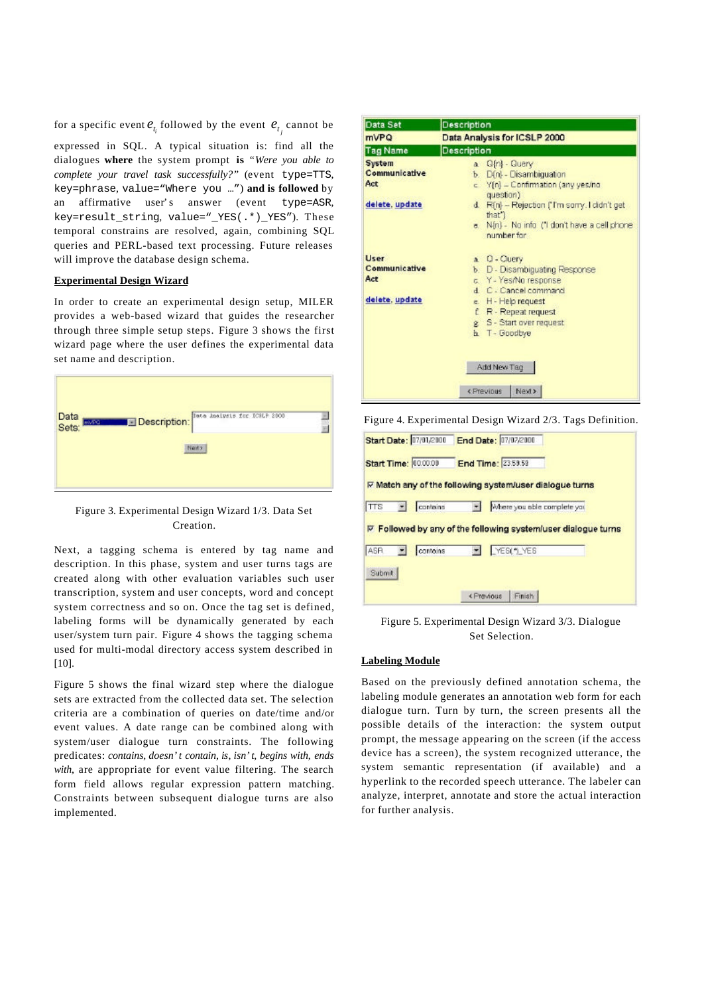for a specific event  $e_{t_i}$  followed by the event  $e_{t_j}$  cannot be

expressed in SQL. A typical situation is: find all the dialogues **where** the system prompt **is** "*Were you able to complete your travel task successfully?"* (event type=TTS, key=phrase, value="Where you …") **and is followed** by an affirmative user's answer (event type=ASR, key=result\_string, value="\_YES(.\*)\_YES"). These temporal constrains are resolved, again, combining SQL queries and PERL-based text processing. Future releases will improve the database design schema.

#### **Experimental Design Wizard**

In order to create an experimental design setup, MILER provides a web-based wizard that guides the researcher through three simple setup steps. Figure 3 shows the first wizard page where the user defines the experimental data set name and description.



Figure 3. Experimental Design Wizard 1/3. Data Set Creation.

Next, a tagging schema is entered by tag name and description. In this phase, system and user turns tags are created along with other evaluation variables such user transcription, system and user concepts, word and concept system correctness and so on. Once the tag set is defined, labeling forms will be dynamically generated by each user/system turn pair. Figure 4 shows the tagging schema used for multi-modal directory access system described in [10].

Figure 5 shows the final wizard step where the dialogue sets are extracted from the collected data set. The selection criteria are a combination of queries on date/time and/or event values. A date range can be combined along with system/user dialogue turn constraints. The following predicates: *contains*, *doesn't contain*, *is*, *isn't*, *begins with*, *ends with*, are appropriate for event value filtering. The search form field allows regular expression pattern matching. Constraints between subsequent dialogue turns are also implemented.

| Data Set                       | <b>Description</b>                                                                 |  |  |  |  |
|--------------------------------|------------------------------------------------------------------------------------|--|--|--|--|
| mVPQ                           | Data Analysis for ICSLP 2000                                                       |  |  |  |  |
| <b>Tag Name</b>                | Description                                                                        |  |  |  |  |
| System<br>Communicative<br>Act | a. G(n) - Guery<br>b. D(n) - Disambiguation<br>c. Y(n) = Confirmation (any yes/no- |  |  |  |  |
| delete, update                 | question)<br>d. R(n) - Rejection ("I'm sorry. I clidn't get<br>that I              |  |  |  |  |
|                                | e. N(n) - No info ("I don't have a cell phone.<br>oumber for                       |  |  |  |  |
| User<br>Communicative          | a Q - Query<br>b. D - Disambiguating Response                                      |  |  |  |  |
| Act<br>delete, update          | c. Y - YesiNo response<br>d. C. Cancel command<br>e. H - Help request              |  |  |  |  |
|                                | £ R - Repeat request<br>g S - Start over request<br>h. T - Goodbye                 |  |  |  |  |
|                                | Add New Tag                                                                        |  |  |  |  |
|                                | Next ><br><frevious< td=""></frevious<>                                            |  |  |  |  |

Figure 4. Experimental Design Wizard 2/3. Tags Definition.

|            | Start Date: 07/01/2000     | End Date: 07/07/2000                                          |
|------------|----------------------------|---------------------------------------------------------------|
|            | <b>Start Time: 00.0000</b> | End Time: 23.59.59                                            |
|            |                            | i⊽ Match any of the following system/user dialogue turns      |
| <b>TTS</b> | contains                   | Where you able complete you                                   |
|            |                            | ₽ Followed by any of the following system/user dialogue turns |
| ASR.       | contoins                   | YES(*)_YES                                                    |
| Submit     |                            |                                                               |
|            |                            | <b>KPrevious</b><br>Finish:                                   |

Figure 5. Experimental Design Wizard 3/3. Dialogue Set Selection.

#### **Labeling Module**

Based on the previously defined annotation schema, the labeling module generates an annotation web form for each dialogue turn. Turn by turn, the screen presents all the possible details of the interaction: the system output prompt, the message appearing on the screen (if the access device has a screen), the system recognized utterance, the system semantic representation (if available) and a hyperlink to the recorded speech utterance. The labeler can analyze, interpret, annotate and store the actual interaction for further analysis.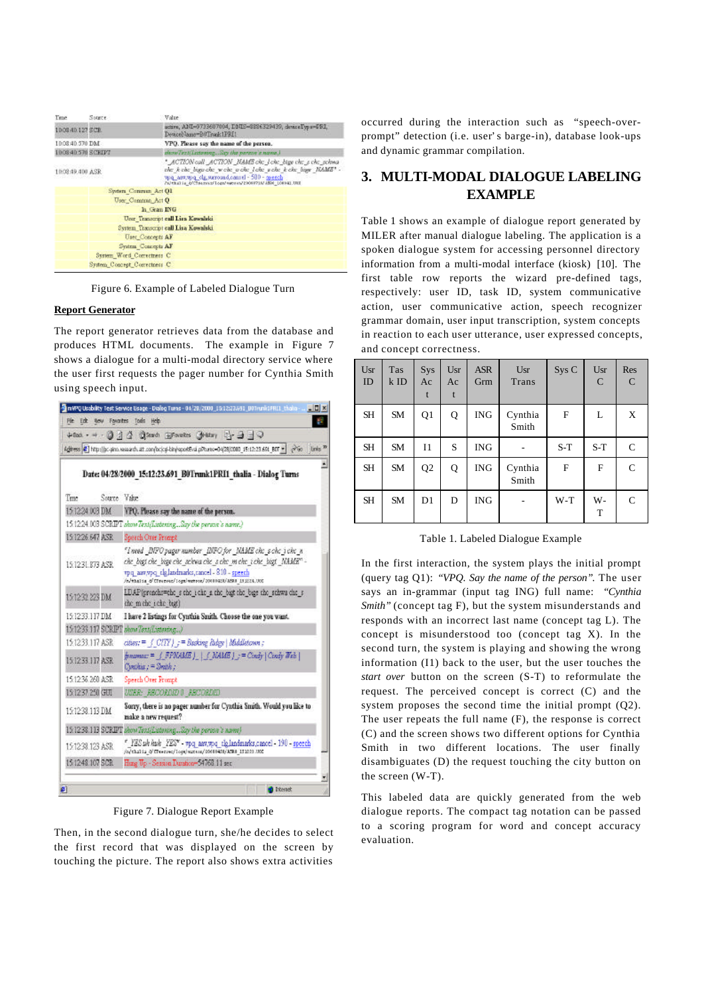| Time            | Source.                      | Value                                                                                                                                                                                                                                            |
|-----------------|------------------------------|--------------------------------------------------------------------------------------------------------------------------------------------------------------------------------------------------------------------------------------------------|
| 100840.127 SCR  |                              | active, AMI=9733607004, DMIS=8236329439, deviceType=FSI,<br>Deviceblame=B0Truck1PRI1                                                                                                                                                             |
| 10:08:40.570 DM |                              | VPO. Please say the name of the person.                                                                                                                                                                                                          |
|                 | 100840570 SCRIPT             | thou Text Listening, Say the partner's name.)                                                                                                                                                                                                    |
| 1008:49.400 ASR |                              | * ACTION call ACTION HAMB che l'ohe bige che s che schna<br>the k the bigg che w che a che l che u che k che bigg NAME" -<br>weg asw.weg clg.surround.com:el - 580 - speech<br>AU that is ACT recover Logic were and honorated allot Logical Out |
|                 | System Commun Act Q1         |                                                                                                                                                                                                                                                  |
|                 | User Common Act Q            |                                                                                                                                                                                                                                                  |
|                 |                              | In Gran ING                                                                                                                                                                                                                                      |
|                 |                              | Uner Transcript call Lies Kowalski                                                                                                                                                                                                               |
|                 |                              | System Transcript call Lisa Kowalski.                                                                                                                                                                                                            |
|                 |                              | User Concepts AF                                                                                                                                                                                                                                 |
|                 | System Concepts AF           |                                                                                                                                                                                                                                                  |
|                 | System Word Correctness C    |                                                                                                                                                                                                                                                  |
|                 | System Concept Correctness C |                                                                                                                                                                                                                                                  |

Figure 6. Example of Labeled Dialogue Turn

#### **Report Generator**

The report generator retrieves data from the database and produces HTML documents. The example in Figure 7 shows a dialogue for a multi-modal directory service where the user first requests the pager number for Cynthia Smith using speech input.



Figure 7. Dialogue Report Example

Then, in the second dialogue turn, she/he decides to select the first record that was displayed on the screen by touching the picture. The report also shows extra activities

occurred during the interaction such as "speech-overprompt" detection (i.e. user's barge-in), database look-ups and dynamic grammar compilation.

# **3. MULTI-MODAL DIALOGUE LABELING EXAMPLE**

Table 1 shows an example of dialogue report generated by MILER after manual dialogue labeling. The application is a spoken dialogue system for accessing personnel directory information from a multi-modal interface (kiosk) [10]. The first table row reports the wizard pre-defined tags, respectively: user ID, task ID, system communicative action, user communicative action, speech recognizer grammar domain, user input transcription, system concepts in reaction to each user utterance, user expressed concepts, and concept correctness.

| Usr<br>ID | Tas<br>$k$ ID | Sys<br>Ac<br>t | Usr<br>Ac<br>t | <b>ASR</b><br>Grm | Usr<br>Trans     | Sys C | Usr<br>$\mathcal{C}$ | Res<br>$\mathcal{C}$ |
|-----------|---------------|----------------|----------------|-------------------|------------------|-------|----------------------|----------------------|
| <b>SH</b> | <b>SM</b>     | Q1             | Q              | <b>ING</b>        | Cynthia<br>Smith | F     | L                    | X                    |
| <b>SH</b> | <b>SM</b>     | 11             | S              | <b>ING</b>        |                  | $S-T$ | $S-T$                | $\mathsf{C}$         |
| <b>SH</b> | <b>SM</b>     | Q <sub>2</sub> | Q              | <b>ING</b>        | Cynthia<br>Smith | F     | F                    | C                    |
| <b>SH</b> | <b>SM</b>     | D1             | D              | <b>ING</b>        |                  | $W-T$ | W-<br>T              | C                    |

Table 1. Labeled Dialogue Example

In the first interaction, the system plays the initial prompt (query tag Q1): *"VPQ. Say the name of the person".* The user says an in-grammar (input tag ING) full name: *"Cynthia Smith"* (concept tag F), but the system misunderstands and responds with an incorrect last name (concept tag L). The concept is misunderstood too (concept tag X). In the second turn, the system is playing and showing the wrong information (I1) back to the user, but the user touches the *start over* button on the screen (S-T) to reformulate the request. The perceived concept is correct (C) and the system proposes the second time the initial prompt (Q2). The user repeats the full name (F), the response is correct (C) and the screen shows two different options for Cynthia Smith in two different locations. The user finally disambiguates (D) the request touching the city button on the screen (W-T).

This labeled data are quickly generated from the web dialogue reports. The compact tag notation can be passed to a scoring program for word and concept accuracy evaluation.